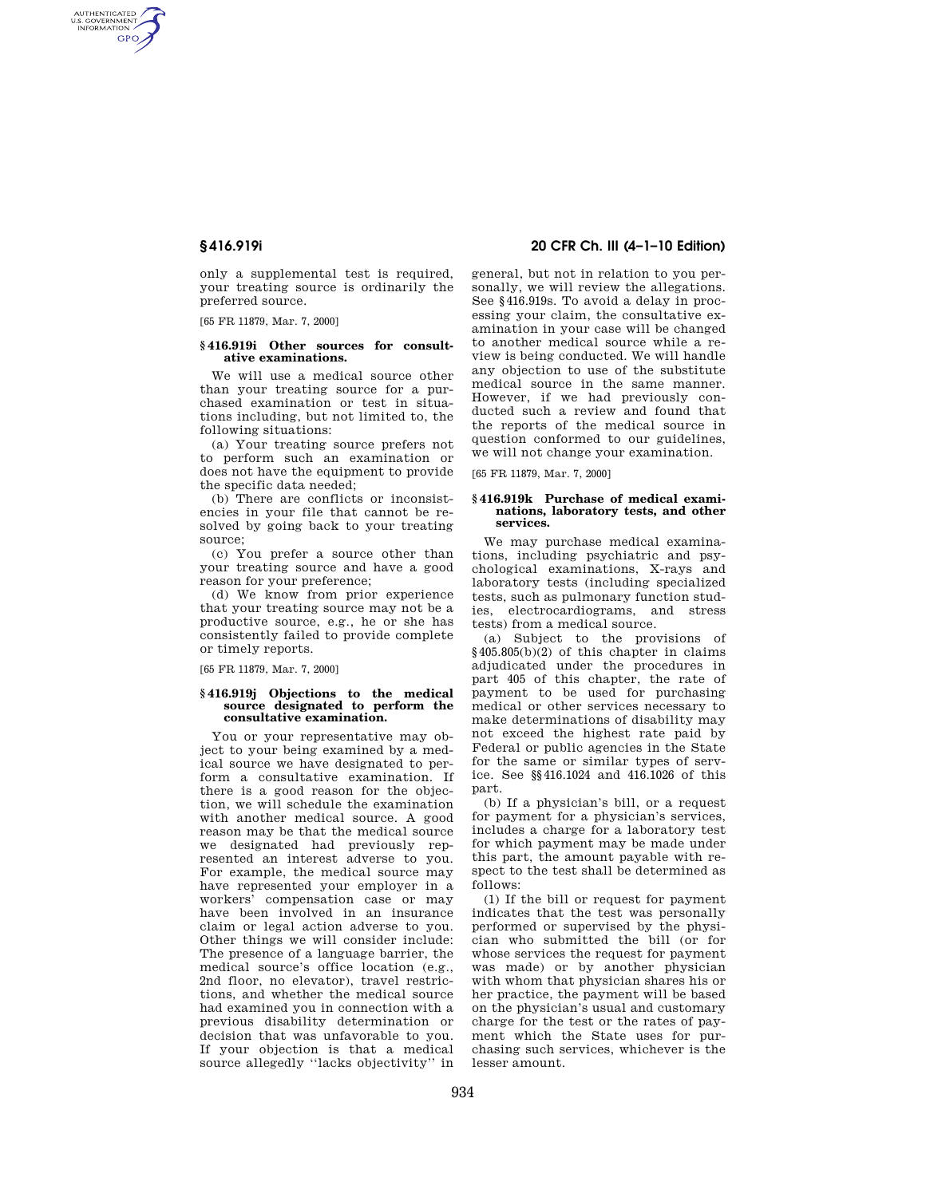AUTHENTICATED<br>U.S. GOVERNMENT<br>INFORMATION **GPO** 

> only a supplemental test is required, your treating source is ordinarily the preferred source.

[65 FR 11879, Mar. 7, 2000]

### **§ 416.919i Other sources for consultative examinations.**

We will use a medical source other than your treating source for a purchased examination or test in situations including, but not limited to, the following situations:

(a) Your treating source prefers not to perform such an examination or does not have the equipment to provide the specific data needed;

(b) There are conflicts or inconsistencies in your file that cannot be resolved by going back to your treating source;

(c) You prefer a source other than your treating source and have a good reason for your preference;

(d) We know from prior experience that your treating source may not be a productive source, e.g., he or she has consistently failed to provide complete or timely reports.

[65 FR 11879, Mar. 7, 2000]

#### **§ 416.919j Objections to the medical source designated to perform the consultative examination.**

You or your representative may object to your being examined by a medical source we have designated to perform a consultative examination. If there is a good reason for the objection, we will schedule the examination with another medical source. A good reason may be that the medical source we designated had previously represented an interest adverse to you. For example, the medical source may have represented your employer in a workers' compensation case or may have been involved in an insurance claim or legal action adverse to you. Other things we will consider include: The presence of a language barrier, the medical source's office location (e.g., 2nd floor, no elevator), travel restrictions, and whether the medical source had examined you in connection with a previous disability determination or decision that was unfavorable to you. If your objection is that a medical source allegedly ''lacks objectivity'' in

# **§ 416.919i 20 CFR Ch. III (4–1–10 Edition)**

general, but not in relation to you personally, we will review the allegations. See §416.919s. To avoid a delay in processing your claim, the consultative examination in your case will be changed to another medical source while a review is being conducted. We will handle any objection to use of the substitute medical source in the same manner. However, if we had previously conducted such a review and found that the reports of the medical source in question conformed to our guidelines, we will not change your examination.

[65 FR 11879, Mar. 7, 2000]

### **§ 416.919k Purchase of medical examinations, laboratory tests, and other services.**

We may purchase medical examinations, including psychiatric and psychological examinations, X-rays and laboratory tests (including specialized tests, such as pulmonary function studies, electrocardiograms, and stress tests) from a medical source.

(a) Subject to the provisions of  $§405.805(b)(2)$  of this chapter in claims adjudicated under the procedures in part 405 of this chapter, the rate of payment to be used for purchasing medical or other services necessary to make determinations of disability may not exceed the highest rate paid by Federal or public agencies in the State for the same or similar types of service. See §§416.1024 and 416.1026 of this part.

(b) If a physician's bill, or a request for payment for a physician's services, includes a charge for a laboratory test for which payment may be made under this part, the amount payable with respect to the test shall be determined as follows:

(1) If the bill or request for payment indicates that the test was personally performed or supervised by the physician who submitted the bill (or for whose services the request for payment was made) or by another physician with whom that physician shares his or her practice, the payment will be based on the physician's usual and customary charge for the test or the rates of payment which the State uses for purchasing such services, whichever is the lesser amount.